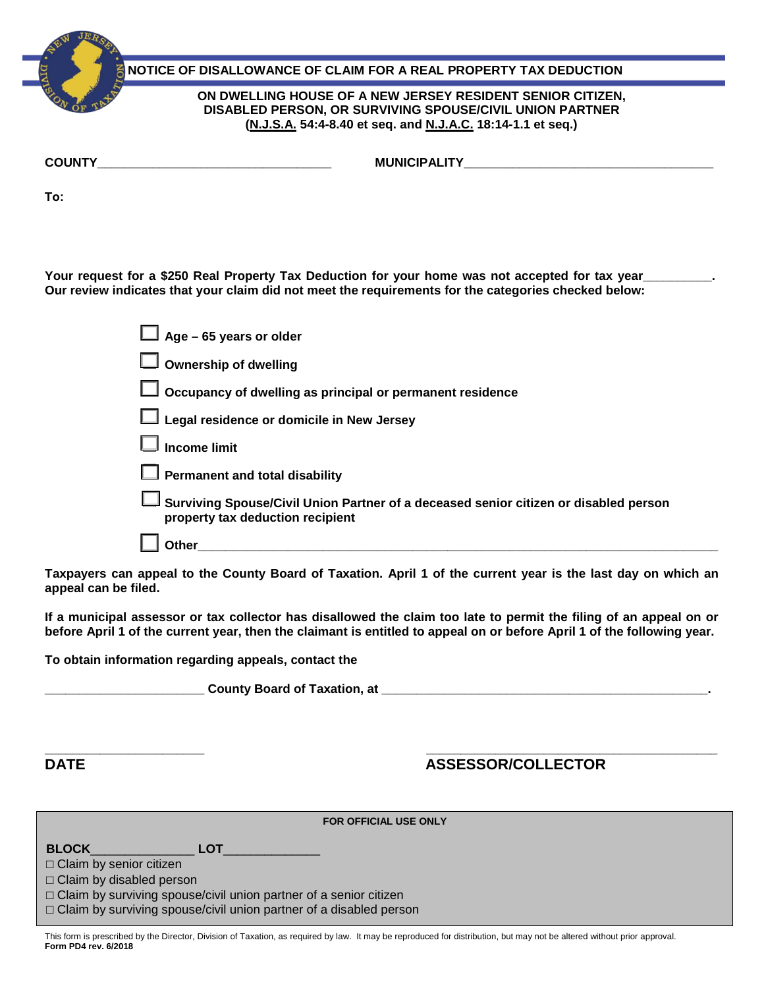**COUNTY\_\_\_\_\_\_\_\_\_\_\_\_\_\_\_\_\_\_\_\_\_\_\_\_\_\_\_\_\_\_\_\_\_\_ MUNICIPALITY\_\_\_\_\_\_\_\_\_\_\_\_\_\_\_\_\_\_\_\_\_\_\_\_\_\_\_\_\_\_\_\_\_\_\_\_ NOTICE OF DISALLOWANCE OF CLAIM FOR A REAL PROPERTY TAX DEDUCTION ON DWELLING HOUSE OF A NEW JERSEY RESIDENT SENIOR CITIZEN, DISABLED PERSON, OR SURVIVING SPOUSE/CIVIL UNION PARTNER (N.J.S.A. 54:4-8.40 et seq. and N.J.A.C. 18:14-1.1 et seq.)**

**To:** 

**Your request for a \$250 Real Property Tax Deduction for your home was not accepted for tax year\_\_\_\_\_\_\_\_\_\_. Our review indicates that your claim did not meet the requirements for the categories checked below:** 

| $\Box$ Age – 65 years or older                                                                                           |
|--------------------------------------------------------------------------------------------------------------------------|
| $\Box$ Ownership of dwelling                                                                                             |
| $\Box$ Occupancy of dwelling as principal or permanent residence                                                         |
| $\Box$ Legal residence or domicile in New Jersey                                                                         |
| $\Box$ Income limit                                                                                                      |
| $\Box$ Permanent and total disability                                                                                    |
| Surviving Spouse/Civil Union Partner of a deceased senior citizen or disabled person<br>property tax deduction recipient |
| Other                                                                                                                    |

**Taxpayers can appeal to the County Board of Taxation. April 1 of the current year is the last day on which an appeal can be filed.**

**If a municipal assessor or tax collector has disallowed the claim too late to permit the filing of an appeal on or before April 1 of the current year, then the claimant is entitled to appeal on or before April 1 of the following year.** 

**To obtain information regarding appeals, contact the** 

**\_\_\_\_\_\_\_\_\_\_\_\_\_\_\_\_\_\_\_\_\_\_\_ County Board of Taxation, at \_\_\_\_\_\_\_\_\_\_\_\_\_\_\_\_\_\_\_\_\_\_\_\_\_\_\_\_\_\_\_\_\_\_\_\_\_\_\_\_\_\_\_\_\_\_\_.** 

# **\_\_\_\_\_\_\_\_\_\_\_\_\_\_\_\_\_\_\_\_\_\_\_ \_\_\_\_\_\_\_\_\_\_\_\_\_\_\_\_\_\_\_\_\_\_\_\_\_\_\_\_\_\_\_\_\_\_\_\_\_\_\_\_\_\_ DATE ASSESSOR/COLLECTOR**

| <b>FOR OFFICIAL USE ONLY</b>                                                                                                                          |  |
|-------------------------------------------------------------------------------------------------------------------------------------------------------|--|
| <b>BLOCK</b><br><b>LOT</b><br>$\Box$ Claim by senior citizen                                                                                          |  |
| $\Box$ Claim by disabled person                                                                                                                       |  |
| $\Box$ Claim by surviving spouse/civil union partner of a senior citizen<br>$\Box$ Claim by surviving spouse/civil union partner of a disabled person |  |

This form is prescribed by the Director, Division of Taxation, as required by law. It may be reproduced for distribution, but may not be altered without prior approval. **Form PD4 rev. 6/2018**